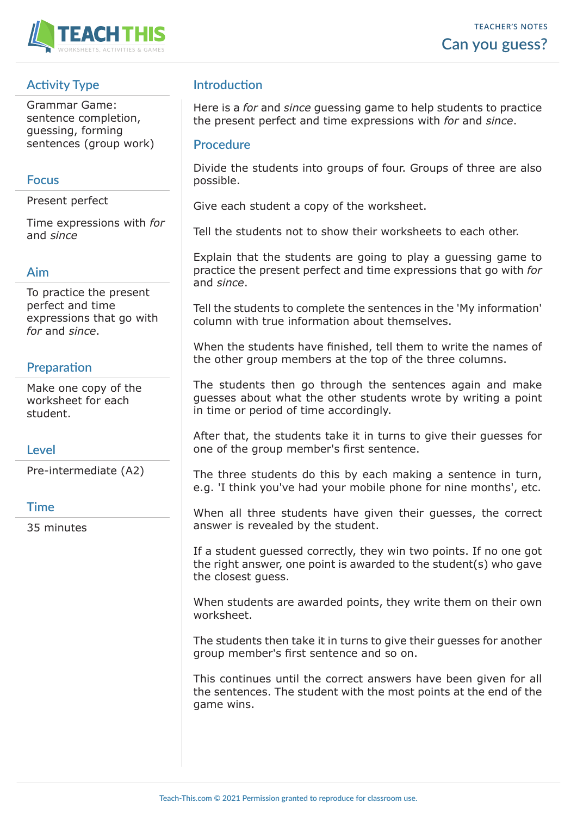

# **Activity Type**

Grammar Game: sentence completion, guessing, forming sentences (group work)

### **Focus**

Present perfect

Time expressions with *for* and *since*

#### **Aim**

To practice the present perfect and time expressions that go with *for* and *since*.

## **Preparation**

Make one copy of the worksheet for each student.

### **Level**

Pre-intermediate (A2)

#### **Time**

35 minutes

# **Introduction**

Here is a *for* and *since* guessing game to help students to practice the present perfect and time expressions with *for* and *since*.

#### **Procedure**

Divide the students into groups of four. Groups of three are also possible.

Give each student a copy of the worksheet.

Tell the students not to show their worksheets to each other.

Explain that the students are going to play a guessing game to practice the present perfect and time expressions that go with *for* and *since*.

Tell the students to complete the sentences in the 'My information' column with true information about themselves.

When the students have finished, tell them to write the names of the other group members at the top of the three columns.

The students then go through the sentences again and make guesses about what the other students wrote by writing a point in time or period of time accordingly.

After that, the students take it in turns to give their guesses for one of the group member's first sentence.

The three students do this by each making a sentence in turn, e.g. 'I think you've had your mobile phone for nine months', etc.

When all three students have given their guesses, the correct answer is revealed by the student.

If a student guessed correctly, they win two points. If no one got the right answer, one point is awarded to the student(s) who gave the closest guess.

When students are awarded points, they write them on their own worksheet.

The students then take it in turns to give their guesses for another group member's first sentence and so on.

This continues until the correct answers have been given for all the sentences. The student with the most points at the end of the game wins.